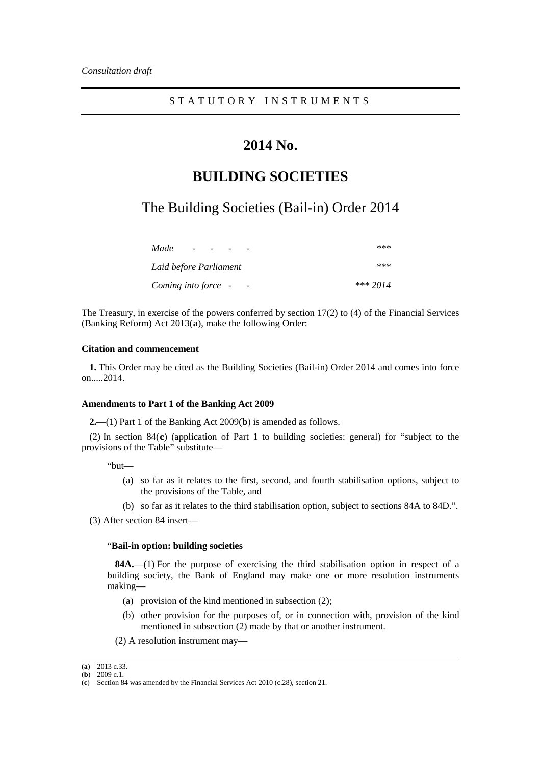# **2014 No.**

## **BUILDING SOCIETIES**

The Building Societies (Bail-in) Order 2014

| Made<br>$\overline{\phantom{a}}$ | ***      |
|----------------------------------|----------|
| Laid before Parliament           | ***      |
| Coming into force -              | *** 2014 |

The Treasury, in exercise of the powers conferred by section 17(2) to (4) of the Financial Services (Banking Reform) Act 2013(**[a](#page-0-0)** ), make the following Order:

#### **Citation and commencement**

**1.** This Order may be cited as the Building Societies (Bail-in) Order 2014 and comes into force on.....2014.

#### **Amendments to Part 1 of the Banking Act 2009**

**2.**—(1) Part 1 of the Banking Act 2009(**[b](#page-0-1)** ) is amended as follows.

(2) In section 84( **[c](#page-0-2)** ) (application of Part 1 to building societies: general) for "subject to the provisions of the Table" substitute—

"but—

- (a) so far as it relates to the first, second, and fourth stabilisation options, subject to the provisions of the Table, and
- (b) so far as it relates to the third stabilisation option, subject to sections 84A to 84D.".

(3) After section 84 insert—

#### "**Bail-in option: building societies**

**84A.**—(1) For the purpose of exercising the third stabilisation option in respect of a building society, the Bank of England may make one or more resolution instruments making—

- (a) provision of the kind mentioned in subsection (2);
- (b) other provision for the purposes of, or in connection with, provision of the kind mentioned in subsection (2) made by that or another instrument.
- (2) A resolution instrument may—

<span id="page-0-0"></span> <sup>(</sup>**<sup>a</sup>**) 2013 c.33.

<span id="page-0-1"></span><sup>(</sup>**b**) 2009 c.1.

<span id="page-0-2"></span><sup>(</sup>**c**) Section 84 was amended by the Financial Services Act 2010 (c.28), section 21.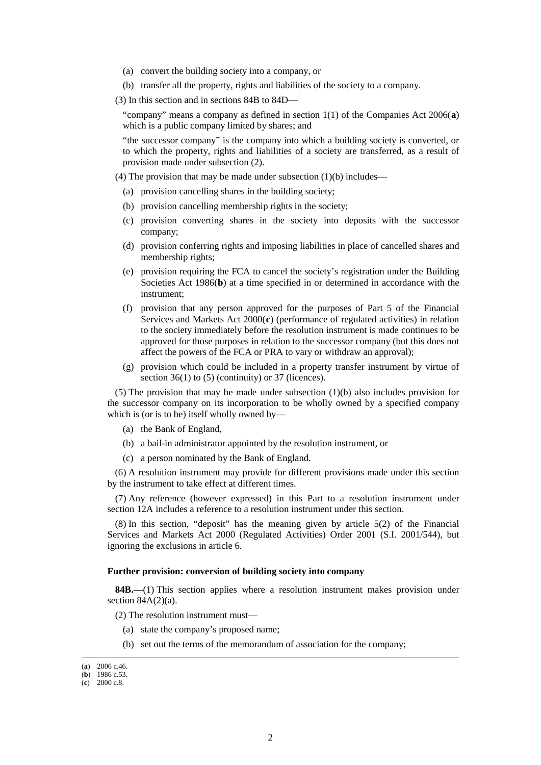- (a) convert the building society into a company, or
- (b) transfer all the property, rights and liabilities of the society to a company.
- (3) In this section and in sections 84B to 84D—

"company" means a company as defined in section 1(1) of the Companies Act 2006(**[a](#page-1-0)** ) which is a public company limited by shares; and

"the successor company" is the company into which a building society is converted, or to which the property, rights and liabilities of a society are transferred, as a result of provision made under subsection (2).

(4) The provision that may be made under subsection  $(1)(b)$  includes—

- (a) provision cancelling shares in the building society;
- (b) provision cancelling membership rights in the society;
- (c) provision converting shares in the society into deposits with the successor company;
- (d) provision conferring rights and imposing liabilities in place of cancelled shares and membership rights;
- (e) provision requiring the FCA to cancel the society's registration under the Building Societies Act 1986(**[b](#page-1-1)** ) at a time specified in or determined in accordance with the instrument;
- (f) provision that any person approved for the purposes of Part 5 of the Financial Servi[c](#page-1-2)es and Markets Act 2000(c) (performance of regulated activities) in relation to the society immediately before the resolution instrument is made continues to be approved for those purposes in relation to the successor company (but this does not affect the powers of the FCA or PRA to vary or withdraw an approval);
- (g) provision which could be included in a property transfer instrument by virtue of section 36(1) to (5) (continuity) or 37 (licences).

(5) The provision that may be made under subsection  $(1)(b)$  also includes provision for the successor company on its incorporation to be wholly owned by a specified company which is (or is to be) itself wholly owned by—

- (a) the Bank of England,
- (b) a bail-in administrator appointed by the resolution instrument, or
- (c) a person nominated by the Bank of England.

(6) A resolution instrument may provide for different provisions made under this section by the instrument to take effect at different times.

(7) Any reference (however expressed) in this Part to a resolution instrument under section 12A includes a reference to a resolution instrument under this section.

(8) In this section, "deposit" has the meaning given by article 5(2) of the Financial Services and Markets Act 2000 (Regulated Activities) Order 2001 (S.I. 2001/544), but ignoring the exclusions in article 6.

#### **Further provision: conversion of building society into company**

**84B.**—(1) This section applies where a resolution instrument makes provision under section  $84A(2)(a)$ .

- (2) The resolution instrument must—
	- (a) state the company's proposed name;
	- (b) set out the terms of the memorandum of association for the company;

<span id="page-1-0"></span> <sup>(</sup>**<sup>a</sup>**) 2006 c.46.

<span id="page-1-1"></span><sup>(</sup>**b**) 1986 c.53.

<span id="page-1-2"></span><sup>(</sup>**c**) 2000 c.8.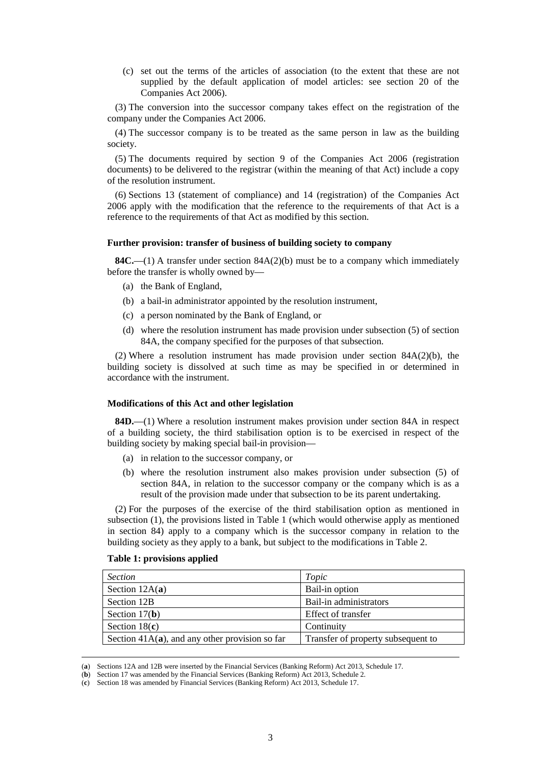(c) set out the terms of the articles of association (to the extent that these are not supplied by the default application of model articles: see section 20 of the Companies Act 2006).

(3) The conversion into the successor company takes effect on the registration of the company under the Companies Act 2006.

(4) The successor company is to be treated as the same person in law as the building society.

(5) The documents required by section 9 of the Companies Act 2006 (registration documents) to be delivered to the registrar (within the meaning of that Act) include a copy of the resolution instrument.

(6) Sections 13 (statement of compliance) and 14 (registration) of the Companies Act 2006 apply with the modification that the reference to the requirements of that Act is a reference to the requirements of that Act as modified by this section.

#### **Further provision: transfer of business of building society to company**

**84C.**—(1) A transfer under section  $84A(2)(b)$  must be to a company which immediately before the transfer is wholly owned by—

- (a) the Bank of England,
- (b) a bail-in administrator appointed by the resolution instrument,
- (c) a person nominated by the Bank of England, or
- (d) where the resolution instrument has made provision under subsection (5) of section 84A, the company specified for the purposes of that subsection.

(2) Where a resolution instrument has made provision under section  $84A(2)(b)$ , the building society is dissolved at such time as may be specified in or determined in accordance with the instrument.

#### **Modifications of this Act and other legislation**

**84D.**—(1) Where a resolution instrument makes provision under section 84A in respect of a building society, the third stabilisation option is to be exercised in respect of the building society by making special bail-in provision—

- (a) in relation to the successor company, or
- (b) where the resolution instrument also makes provision under subsection (5) of section 84A, in relation to the successor company or the company which is as a result of the provision made under that subsection to be its parent undertaking.

(2) For the purposes of the exercise of the third stabilisation option as mentioned in subsection (1), the provisions listed in Table 1 (which would otherwise apply as mentioned in section 84) apply to a company which is the successor company in relation to the building society as they apply to a bank, but subject to the modifications in Table 2.

#### **Table 1: provisions applied**

<span id="page-2-3"></span>

| <i>Section</i>                                    | Topic                              |
|---------------------------------------------------|------------------------------------|
| Section $12A(a)$                                  | Bail-in option                     |
| Section 12B                                       | Bail-in administrators             |
| Section $17(b)$                                   | Effect of transfer                 |
| Section $18(c)$                                   | Continuity                         |
| Section $41A(a)$ , and any other provision so far | Transfer of property subsequent to |

<span id="page-2-0"></span> <sup>(</sup>**<sup>a</sup>**) Sections 12A and 12B were inserted by the Financial Services (Banking Reform) Act 2013, Schedule 17.

<span id="page-2-1"></span><sup>(</sup>**b**) Section 17 was amended by the Financial Services (Banking Reform) Act 2013, Schedule 2.

<span id="page-2-2"></span><sup>(</sup>**c**) Section 18 was amended by Financial Services (Banking Reform) Act 2013, Schedule 17.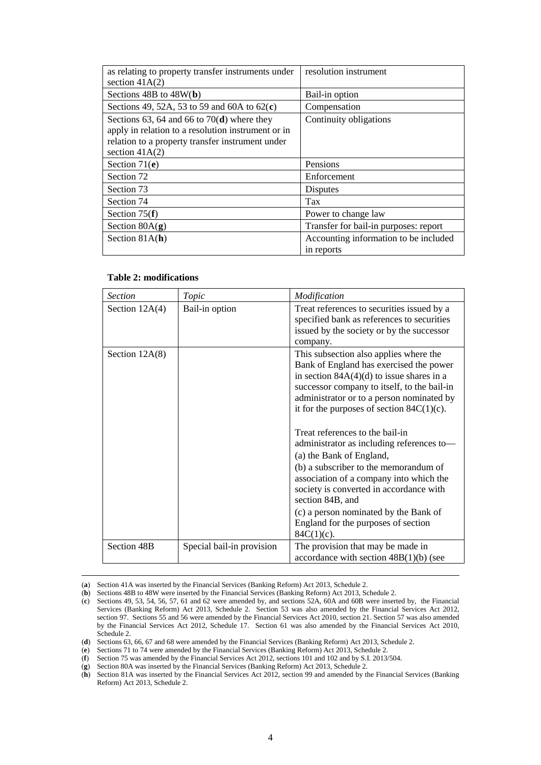| as relating to property transfer instruments under | resolution instrument                 |
|----------------------------------------------------|---------------------------------------|
| section $41A(2)$                                   |                                       |
| Sections $48B$ to $48W(b)$                         | Bail-in option                        |
| Sections 49, 52A, 53 to 59 and 60A to $62(c)$      | Compensation                          |
| Sections 63, 64 and 66 to 70( $\bf d$ ) where they | Continuity obligations                |
| apply in relation to a resolution instrument or in |                                       |
| relation to a property transfer instrument under   |                                       |
| section $41A(2)$                                   |                                       |
| Section $71(e)$                                    | Pensions                              |
| Section 72                                         | Enforcement                           |
| Section 73                                         | <b>Disputes</b>                       |
| Section 74                                         | Tax                                   |
| Section $75(f)$                                    | Power to change law                   |
| Section $80A(g)$                                   | Transfer for bail-in purposes: report |
| Section $81A(h)$                                   | Accounting information to be included |
|                                                    | in reports                            |

#### **Table 2: modifications**

| <b>Section</b>   | Topic                     | Modification                                                                                                                                                                                                                                                                 |
|------------------|---------------------------|------------------------------------------------------------------------------------------------------------------------------------------------------------------------------------------------------------------------------------------------------------------------------|
| Section $12A(4)$ | Bail-in option            | Treat references to securities issued by a<br>specified bank as references to securities<br>issued by the society or by the successor<br>company.                                                                                                                            |
| Section $12A(8)$ |                           | This subsection also applies where the<br>Bank of England has exercised the power<br>in section $84A(4)(d)$ to issue shares in a<br>successor company to itself, to the bail-in<br>administrator or to a person nominated by<br>it for the purposes of section $84C(1)(c)$ . |
|                  |                           | Treat references to the bail-in<br>administrator as including references to-<br>(a) the Bank of England,<br>(b) a subscriber to the memorandum of<br>association of a company into which the<br>society is converted in accordance with<br>section 84B, and                  |
|                  |                           | (c) a person nominated by the Bank of<br>England for the purposes of section<br>$84C(1)(c)$ .                                                                                                                                                                                |
| Section 48B      | Special bail-in provision | The provision that may be made in<br>accordance with section $48B(1)(b)$ (see                                                                                                                                                                                                |

 <sup>(</sup>**<sup>a</sup>**) Section 41A was inserted by the Financial Services (Banking Reform) Act 2013, Schedule 2.

<span id="page-3-1"></span><span id="page-3-0"></span><sup>(</sup>**b**) Sections 48B to 48W were inserted by the Financial Services (Banking Reform) Act 2013, Schedule 2.<br>(**c**) Sections 49, 53, 54, 56, 57, 61 and 62 were amended by, and sections 52A, 60A and 60B were insert

Sections 49, 53, 54, 56, 57, 61 and 62 were amended by, and sections 52A, 60A and 60B were inserted by, the Financial Services (Banking Reform) Act 2013, Schedule 2. Section 53 was also amended by the Financial Services Act 2012, section 97. Sections 55 and 56 were amended by the Financial Services Act 2010, section 21. Section 57 was also amended by the Financial Services Act 2012, Schedule 17. Section 61 was also amended by the Financial Services Act 2010, Schedule 2.

<sup>(</sup>**d**) Sections 63, 66, 67 and 68 were amended by the Financial Services (Banking Reform) Act 2013, Schedule 2.

<span id="page-3-3"></span><span id="page-3-2"></span><sup>(</sup>**e**) Sections 71 to 74 were amended by the Financial Services (Banking Reform) Act 2013, Schedule 2.<br>(**f**) Section 75 was amended by the Financial Services Act 2012, sections 101 and 102 and by S.I. 2013

<span id="page-3-5"></span><span id="page-3-4"></span>Section 75 was amended by the Financial Services Act 2012, sections 101 and 102 and by S.I. 2013/504.

<sup>(</sup>**g**) Section 80A was inserted by the Financial Services (Banking Reform) Act 2013, Schedule 2.

<span id="page-3-6"></span><sup>(</sup>**h**) Section 81A was inserted by the Financial Services Act 2012, section 99 and amended by the Financial Services (Banking Reform) Act 2013, Schedule 2.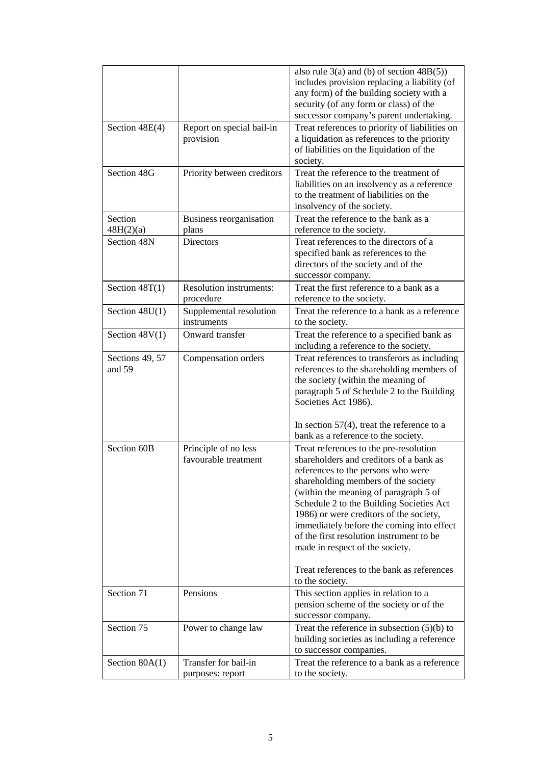|                           |                                              | also rule $3(a)$ and (b) of section $48B(5)$ )<br>includes provision replacing a liability (of<br>any form) of the building society with a<br>security (of any form or class) of the<br>successor company's parent undertaking.                                                                                                                                                                                                                                                             |
|---------------------------|----------------------------------------------|---------------------------------------------------------------------------------------------------------------------------------------------------------------------------------------------------------------------------------------------------------------------------------------------------------------------------------------------------------------------------------------------------------------------------------------------------------------------------------------------|
| Section 48E(4)            | Report on special bail-in<br>provision       | Treat references to priority of liabilities on<br>a liquidation as references to the priority<br>of liabilities on the liquidation of the<br>society.                                                                                                                                                                                                                                                                                                                                       |
| Section 48G               | Priority between creditors                   | Treat the reference to the treatment of<br>liabilities on an insolvency as a reference<br>to the treatment of liabilities on the<br>insolvency of the society.                                                                                                                                                                                                                                                                                                                              |
| Section<br>48H(2)(a)      | Business reorganisation<br>plans             | Treat the reference to the bank as a<br>reference to the society.                                                                                                                                                                                                                                                                                                                                                                                                                           |
| Section 48N               | <b>Directors</b>                             | Treat references to the directors of a<br>specified bank as references to the<br>directors of the society and of the<br>successor company.                                                                                                                                                                                                                                                                                                                                                  |
| Section $48T(1)$          | Resolution instruments:<br>procedure         | Treat the first reference to a bank as a<br>reference to the society.                                                                                                                                                                                                                                                                                                                                                                                                                       |
| Section $48U(1)$          | Supplemental resolution<br>instruments       | Treat the reference to a bank as a reference<br>to the society.                                                                                                                                                                                                                                                                                                                                                                                                                             |
| Section $48V(1)$          | Onward transfer                              | Treat the reference to a specified bank as<br>including a reference to the society.                                                                                                                                                                                                                                                                                                                                                                                                         |
| Sections 49, 57<br>and 59 | Compensation orders                          | Treat references to transferors as including<br>references to the shareholding members of<br>the society (within the meaning of<br>paragraph 5 of Schedule 2 to the Building<br>Societies Act 1986).<br>In section $57(4)$ , treat the reference to a<br>bank as a reference to the society.                                                                                                                                                                                                |
| Section 60B               | Principle of no less<br>favourable treatment | Treat references to the pre-resolution<br>shareholders and creditors of a bank as<br>references to the persons who were<br>shareholding members of the society<br>(within the meaning of paragraph 5 of<br>Schedule 2 to the Building Societies Act<br>1986) or were creditors of the society,<br>immediately before the coming into effect<br>of the first resolution instrument to be<br>made in respect of the society.<br>Treat references to the bank as references<br>to the society. |
| Section 71                | Pensions                                     | This section applies in relation to a<br>pension scheme of the society or of the<br>successor company.                                                                                                                                                                                                                                                                                                                                                                                      |
| Section 75                | Power to change law                          | Treat the reference in subsection $(5)(b)$ to<br>building societies as including a reference<br>to successor companies.                                                                                                                                                                                                                                                                                                                                                                     |
| Section $80A(1)$          | Transfer for bail-in<br>purposes: report     | Treat the reference to a bank as a reference<br>to the society.                                                                                                                                                                                                                                                                                                                                                                                                                             |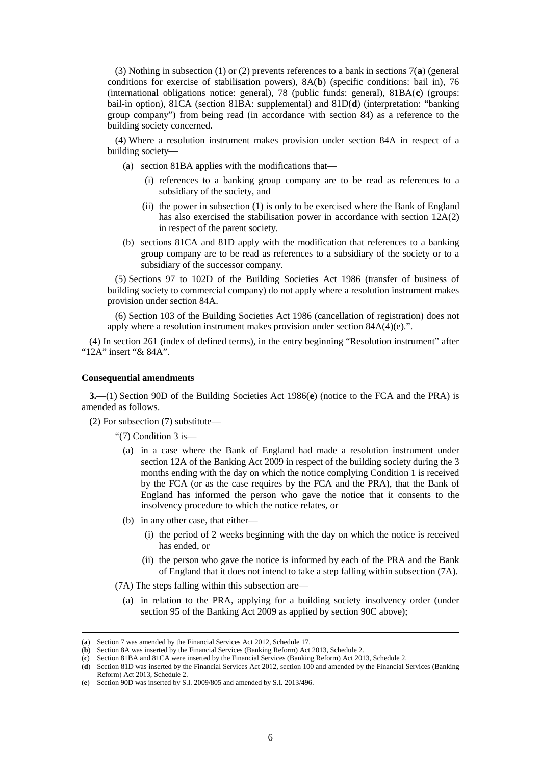(3) Nothing in subsection (1) or (2) prevents references to a bank in sections 7(**[a](#page-5-0)**) (general conditions for exercise of stabilisation powers), 8A(**[b](#page-5-1)**) (specific conditions: bail in), 76 (international obligations notice: general), 78 (public funds: general), 81BA(**[c](#page-5-2)**) (groups: bail-in option), 81CA (section 81BA: supplemental) and 81D(**[d](#page-5-3)** ) (interpretation: "banking group company") from being read (in accordance with section 84) as a reference to the building society concerned.

(4) Where a resolution instrument makes provision under section 84A in respect of a building society—

- (a) section 81BA applies with the modifications that—
	- (i) references to a banking group company are to be read as references to a subsidiary of the society, and
	- (ii) the power in subsection (1) is only to be exercised where the Bank of England has also exercised the stabilisation power in accordance with section 12A(2) in respect of the parent society.
- (b) sections 81CA and 81D apply with the modification that references to a banking group company are to be read as references to a subsidiary of the society or to a subsidiary of the successor company.

(5) Sections 97 to 102D of the Building Societies Act 1986 (transfer of business of building society to commercial company) do not apply where a resolution instrument makes provision under section 84A.

(6) Section 103 of the Building Societies Act 1986 (cancellation of registration) does not apply where a resolution instrument makes provision under section 84A(4)(e).".

(4) In section 261 (index of defined terms), in the entry beginning "Resolution instrument" after "12A" insert "& 84A".

#### **Consequential amendments**

**3.**—(1) S[e](#page-5-4)ction 90D of the Building Societies Act 1986(**e**) (notice to the FCA and the PRA) is amended as follows.

(2) For subsection (7) substitute—

"(7) Condition 3 is—

- (a) in a case where the Bank of England had made a resolution instrument under section 12A of the Banking Act 2009 in respect of the building society during the 3 months ending with the day on which the notice complying Condition 1 is received by the FCA (or as the case requires by the FCA and the PRA), that the Bank of England has informed the person who gave the notice that it consents to the insolvency procedure to which the notice relates, or
- (b) in any other case, that either—
	- (i) the period of 2 weeks beginning with the day on which the notice is received has ended, or
	- (ii) the person who gave the notice is informed by each of the PRA and the Bank of England that it does not intend to take a step falling within subsection (7A).
- (7A) The steps falling within this subsection are—
	- (a) in relation to the PRA, applying for a building society insolvency order (under section 95 of the Banking Act 2009 as applied by section 90C above);

 <sup>(</sup>**<sup>a</sup>**) Section 7 was amended by the Financial Services Act 2012, Schedule 17.

<span id="page-5-1"></span><span id="page-5-0"></span><sup>(</sup>**b**) Section 8A was inserted by the Financial Services (Banking Reform) Act 2013, Schedule 2.

<span id="page-5-2"></span><sup>(</sup>**c**) Section 81BA and 81CA were inserted by the Financial Services (Banking Reform) Act 2013, Schedule 2.

<span id="page-5-3"></span><sup>(</sup>**d**) Section 81D was inserted by the Financial Services Act 2012, section 100 and amended by the Financial Services (Banking Reform) Act 2013, Schedule 2.

<span id="page-5-4"></span><sup>(</sup>**e**) Section 90D was inserted by S.I. 2009/805 and amended by S.I. 2013/496.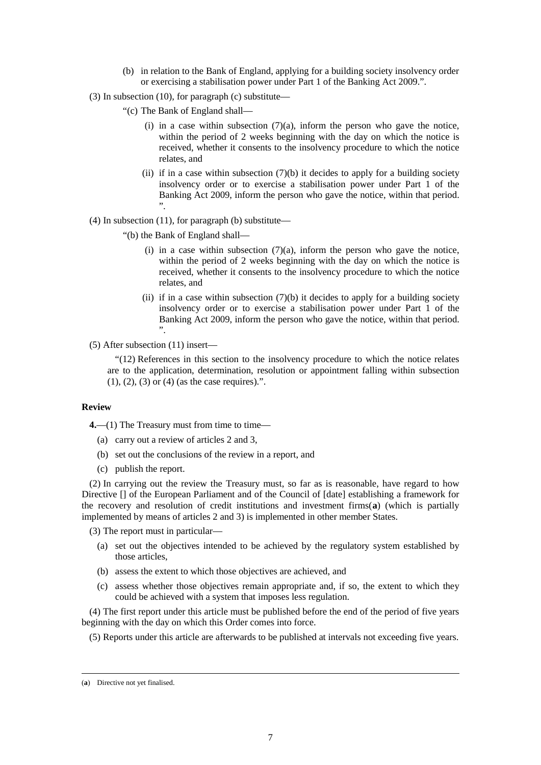- (b) in relation to the Bank of England, applying for a building society insolvency order or exercising a stabilisation power under Part 1 of the Banking Act 2009.".
- (3) In subsection (10), for paragraph (c) substitute—
	- "(c) The Bank of England shall—
		- (i) in a case within subsection  $(7)(a)$ , inform the person who gave the notice, within the period of 2 weeks beginning with the day on which the notice is received, whether it consents to the insolvency procedure to which the notice relates, and
		- (ii) if in a case within subsection  $(7)(b)$  it decides to apply for a building society insolvency order or to exercise a stabilisation power under Part 1 of the Banking Act 2009, inform the person who gave the notice, within that period. ".
- (4) In subsection (11), for paragraph (b) substitute—
	- "(b) the Bank of England shall—
		- (i) in a case within subsection  $(7)(a)$ , inform the person who gave the notice, within the period of 2 weeks beginning with the day on which the notice is received, whether it consents to the insolvency procedure to which the notice relates, and
		- (ii) if in a case within subsection  $(7)(b)$  it decides to apply for a building society insolvency order or to exercise a stabilisation power under Part 1 of the Banking Act 2009, inform the person who gave the notice, within that period. ".

#### (5) After subsection (11) insert—

"(12) References in this section to the insolvency procedure to which the notice relates are to the application, determination, resolution or appointment falling within subsection (1), (2), (3) or (4) (as the case requires).".

#### **Review**

**4.**—(1) The Treasury must from time to time—

- (a) carry out a review of articles 2 and 3,
- (b) set out the conclusions of the review in a report, and
- (c) publish the report.

(2) In carrying out the review the Treasury must, so far as is reasonable, have regard to how Directive [] of the European Parliament and of the Council of [date] establishing a framework for the recovery and resolution of credit institutions and investment firms(**[a](#page-6-0)** ) (which is partially implemented by means of articles 2 and 3) is implemented in other member States.

(3) The report must in particular—

- (a) set out the objectives intended to be achieved by the regulatory system established by those articles,
- (b) assess the extent to which those objectives are achieved, and
- (c) assess whether those objectives remain appropriate and, if so, the extent to which they could be achieved with a system that imposes less regulation.

(4) The first report under this article must be published before the end of the period of five years beginning with the day on which this Order comes into force.

(5) Reports under this article are afterwards to be published at intervals not exceeding five years.

<span id="page-6-0"></span> <sup>(</sup>**<sup>a</sup>**) Directive not yet finalised.